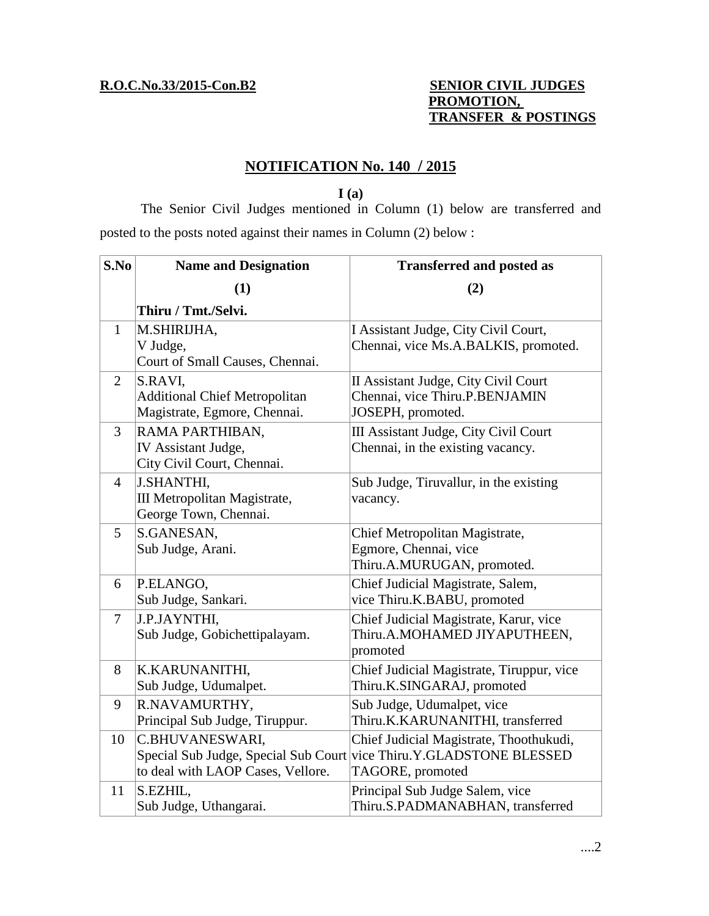# **R.O.C.No.33/2015-Con.B2 SENIOR CIVIL JUDGES PROMOTION, TRANSFER & POSTINGS**

# **NOTIFICATION No. 140 / 2015**

**I (a)**

The Senior Civil Judges mentioned in Column (1) below are transferred and posted to the posts noted against their names in Column (2) below :

| S.No           | <b>Name and Designation</b>                                                     | <b>Transferred and posted as</b>                                                                                                   |
|----------------|---------------------------------------------------------------------------------|------------------------------------------------------------------------------------------------------------------------------------|
|                | (1)                                                                             | (2)                                                                                                                                |
|                | Thiru / Tmt./Selvi.                                                             |                                                                                                                                    |
| $\mathbf{1}$   | M.SHIRIJHA,<br>V Judge,<br>Court of Small Causes, Chennai.                      | I Assistant Judge, City Civil Court,<br>Chennai, vice Ms.A.BALKIS, promoted.                                                       |
| $\overline{2}$ | S.RAVI,<br><b>Additional Chief Metropolitan</b><br>Magistrate, Egmore, Chennai. | II Assistant Judge, City Civil Court<br>Chennai, vice Thiru.P.BENJAMIN<br>JOSEPH, promoted.                                        |
| 3              | RAMA PARTHIBAN,<br>IV Assistant Judge,<br>City Civil Court, Chennai.            | III Assistant Judge, City Civil Court<br>Chennai, in the existing vacancy.                                                         |
| $\overline{4}$ | <b>J.SHANTHI,</b><br>III Metropolitan Magistrate,<br>George Town, Chennai.      | Sub Judge, Tiruvallur, in the existing<br>vacancy.                                                                                 |
| 5              | S.GANESAN,<br>Sub Judge, Arani.                                                 | Chief Metropolitan Magistrate,<br>Egmore, Chennai, vice<br>Thiru.A.MURUGAN, promoted.                                              |
| 6              | P.ELANGO,<br>Sub Judge, Sankari.                                                | Chief Judicial Magistrate, Salem,<br>vice Thiru.K.BABU, promoted                                                                   |
| $\overline{7}$ | J.P.JAYNTHI,<br>Sub Judge, Gobichettipalayam.                                   | Chief Judicial Magistrate, Karur, vice<br>Thiru.A.MOHAMED JIYAPUTHEEN,<br>promoted                                                 |
| 8              | K.KARUNANITHI,<br>Sub Judge, Udumalpet.                                         | Chief Judicial Magistrate, Tiruppur, vice<br>Thiru.K.SINGARAJ, promoted                                                            |
| 9              | R.NAVAMURTHY,<br>Principal Sub Judge, Tiruppur.                                 | Sub Judge, Udumalpet, vice<br>Thiru.K.KARUNANITHI, transferred                                                                     |
| 10             | C.BHUVANESWARI,<br>to deal with LAOP Cases, Vellore.                            | Chief Judicial Magistrate, Thoothukudi,<br>Special Sub Judge, Special Sub Court vice Thiru.Y.GLADSTONE BLESSED<br>TAGORE, promoted |
| 11             | S.EZHIL,<br>Sub Judge, Uthangarai.                                              | Principal Sub Judge Salem, vice<br>Thiru.S.PADMANABHAN, transferred                                                                |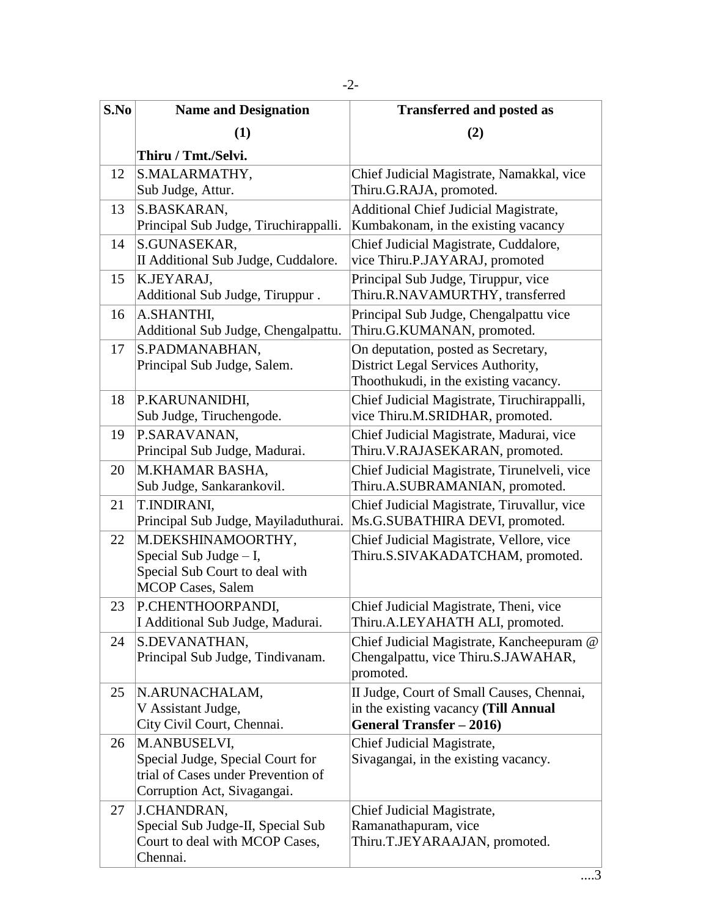| S.No | <b>Name and Designation</b>                                                                                           | <b>Transferred and posted as</b>                                                                                   |
|------|-----------------------------------------------------------------------------------------------------------------------|--------------------------------------------------------------------------------------------------------------------|
|      | (1)                                                                                                                   | (2)                                                                                                                |
|      | Thiru / Tmt./Selvi.                                                                                                   |                                                                                                                    |
| 12   | S.MALARMATHY,<br>Sub Judge, Attur.                                                                                    | Chief Judicial Magistrate, Namakkal, vice<br>Thiru.G.RAJA, promoted.                                               |
| 13   | S.BASKARAN,<br>Principal Sub Judge, Tiruchirappalli.                                                                  | <b>Additional Chief Judicial Magistrate,</b><br>Kumbakonam, in the existing vacancy                                |
| 14   | S.GUNASEKAR,<br>II Additional Sub Judge, Cuddalore.                                                                   | Chief Judicial Magistrate, Cuddalore,<br>vice Thiru.P.JAYARAJ, promoted                                            |
| 15   | K.JEYARAJ,<br>Additional Sub Judge, Tiruppur.                                                                         | Principal Sub Judge, Tiruppur, vice<br>Thiru.R.NAVAMURTHY, transferred                                             |
| 16   | A.SHANTHI,<br>Additional Sub Judge, Chengalpattu.                                                                     | Principal Sub Judge, Chengalpattu vice<br>Thiru.G.KUMANAN, promoted.                                               |
| 17   | S.PADMANABHAN,<br>Principal Sub Judge, Salem.                                                                         | On deputation, posted as Secretary,<br>District Legal Services Authority,<br>Thoothukudi, in the existing vacancy. |
| 18   | P.KARUNANIDHI,<br>Sub Judge, Tiruchengode.                                                                            | Chief Judicial Magistrate, Tiruchirappalli,<br>vice Thiru.M.SRIDHAR, promoted.                                     |
| 19   | P.SARAVANAN,<br>Principal Sub Judge, Madurai.                                                                         | Chief Judicial Magistrate, Madurai, vice<br>Thiru.V.RAJASEKARAN, promoted.                                         |
| 20   | M.KHAMAR BASHA,<br>Sub Judge, Sankarankovil.                                                                          | Chief Judicial Magistrate, Tirunelveli, vice<br>Thiru.A.SUBRAMANIAN, promoted.                                     |
| 21   | T.INDIRANI,<br>Principal Sub Judge, Mayiladuthurai.                                                                   | Chief Judicial Magistrate, Tiruvallur, vice<br>Ms.G.SUBATHIRA DEVI, promoted.                                      |
| 22   | M.DEKSHINAMOORTHY,<br>Special Sub Judge $- I$ ,<br>Special Sub Court to deal with<br><b>MCOP Cases, Salem</b>         | Chief Judicial Magistrate, Vellore, vice<br>Thiru.S.SIVAKADATCHAM, promoted.                                       |
| 23   | P.CHENTHOORPANDI,<br>I Additional Sub Judge, Madurai.                                                                 | Chief Judicial Magistrate, Theni, vice<br>Thiru.A.LEYAHATH ALI, promoted.                                          |
| 24   | S.DEVANATHAN,<br>Principal Sub Judge, Tindivanam.                                                                     | Chief Judicial Magistrate, Kancheepuram @<br>Chengalpattu, vice Thiru.S.JAWAHAR,<br>promoted.                      |
| 25   | N.ARUNACHALAM,<br>V Assistant Judge,<br>City Civil Court, Chennai.                                                    | II Judge, Court of Small Causes, Chennai,<br>in the existing vacancy (Till Annual<br>General Transfer - 2016)      |
| 26   | M.ANBUSELVI,<br>Special Judge, Special Court for<br>trial of Cases under Prevention of<br>Corruption Act, Sivagangai. | Chief Judicial Magistrate,<br>Sivagangai, in the existing vacancy.                                                 |
| 27   | J.CHANDRAN,<br>Special Sub Judge-II, Special Sub<br>Court to deal with MCOP Cases,<br>Chennai.                        | Chief Judicial Magistrate,<br>Ramanathapuram, vice<br>Thiru.T.JEYARAAJAN, promoted.                                |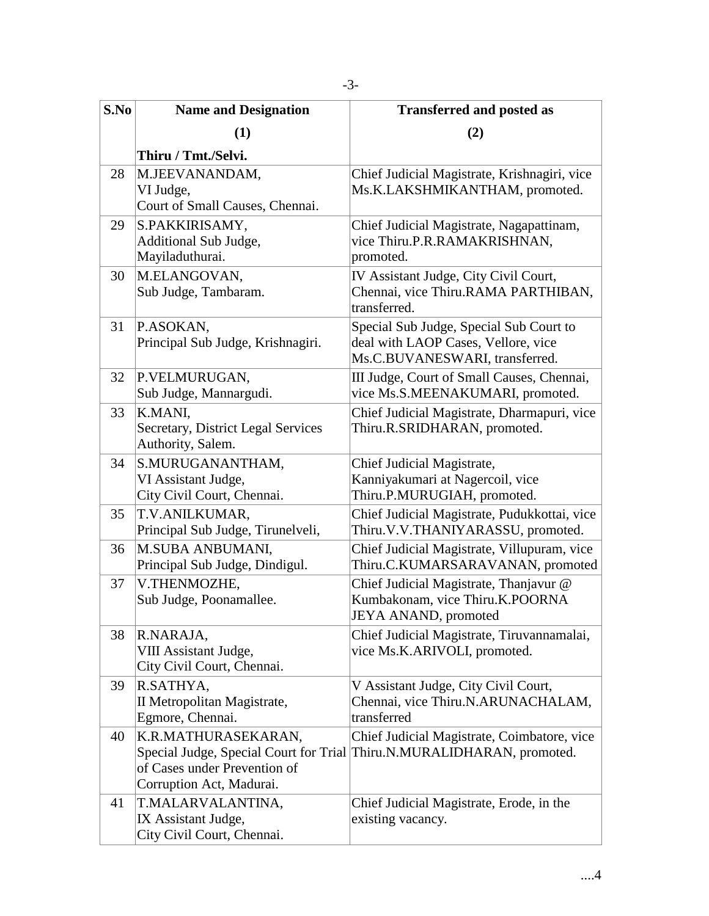| S.No | <b>Name and Designation</b>                               | <b>Transferred and posted as</b>                                                |
|------|-----------------------------------------------------------|---------------------------------------------------------------------------------|
|      | (1)                                                       | (2)                                                                             |
|      | Thiru / Tmt./Selvi.                                       |                                                                                 |
| 28   | M.JEEVANANDAM,                                            | Chief Judicial Magistrate, Krishnagiri, vice                                    |
|      | VI Judge,                                                 | Ms.K.LAKSHMIKANTHAM, promoted.                                                  |
|      | Court of Small Causes, Chennai.                           |                                                                                 |
| 29   | S.PAKKIRISAMY,                                            | Chief Judicial Magistrate, Nagapattinam,                                        |
|      | Additional Sub Judge,                                     | vice Thiru.P.R.RAMAKRISHNAN,                                                    |
|      | Mayiladuthurai.                                           | promoted.                                                                       |
| 30   | M.ELANGOVAN,                                              | IV Assistant Judge, City Civil Court,                                           |
|      | Sub Judge, Tambaram.                                      | Chennai, vice Thiru.RAMA PARTHIBAN,<br>transferred.                             |
|      |                                                           |                                                                                 |
| 31   | P.ASOKAN,<br>Principal Sub Judge, Krishnagiri.            | Special Sub Judge, Special Sub Court to<br>deal with LAOP Cases, Vellore, vice  |
|      |                                                           | Ms.C.BUVANESWARI, transferred.                                                  |
| 32   | P.VELMURUGAN,                                             | III Judge, Court of Small Causes, Chennai,                                      |
|      | Sub Judge, Mannargudi.                                    | vice Ms.S.MEENAKUMARI, promoted.                                                |
| 33   | K.MANI.                                                   | Chief Judicial Magistrate, Dharmapuri, vice                                     |
|      | Secretary, District Legal Services                        | Thiru.R.SRIDHARAN, promoted.                                                    |
|      | Authority, Salem.                                         |                                                                                 |
| 34   | S.MURUGANANTHAM,                                          | Chief Judicial Magistrate,                                                      |
|      | VI Assistant Judge,                                       | Kanniyakumari at Nagercoil, vice                                                |
|      | City Civil Court, Chennai.                                | Thiru.P.MURUGIAH, promoted.                                                     |
| 35   | T.V.ANILKUMAR,                                            | Chief Judicial Magistrate, Pudukkottai, vice                                    |
|      | Principal Sub Judge, Tirunelveli,                         | Thiru. V.V. THANIYARASSU, promoted.                                             |
| 36   | <b>M.SUBA ANBUMANI,</b><br>Principal Sub Judge, Dindigul. | Chief Judicial Magistrate, Villupuram, vice<br>Thiru.C.KUMARSARAVANAN, promoted |
| 37   | V.THENMOZHE,                                              | Chief Judicial Magistrate, Thanjavur @                                          |
|      | Sub Judge, Poonamallee.                                   | Kumbakonam, vice Thiru.K.POORNA                                                 |
|      |                                                           | JEYA ANAND, promoted                                                            |
| 38   | R.NARAJA,                                                 | Chief Judicial Magistrate, Tiruvannamalai,                                      |
|      | VIII Assistant Judge,                                     | vice Ms.K.ARIVOLI, promoted.                                                    |
|      | City Civil Court, Chennai.                                |                                                                                 |
| 39   | R.SATHYA,                                                 | V Assistant Judge, City Civil Court,                                            |
|      | II Metropolitan Magistrate,                               | Chennai, vice Thiru.N.ARUNACHALAM,                                              |
|      | Egmore, Chennai.                                          | transferred                                                                     |
| 40   | K.R.MATHURASEKARAN,                                       | Chief Judicial Magistrate, Coimbatore, vice                                     |
|      |                                                           | Special Judge, Special Court for Trial Thiru.N.MURALIDHARAN, promoted.          |
|      | of Cases under Prevention of<br>Corruption Act, Madurai.  |                                                                                 |
| 41   | T.MALARVALANTINA,                                         | Chief Judicial Magistrate, Erode, in the                                        |
|      | IX Assistant Judge,                                       | existing vacancy.                                                               |
|      | City Civil Court, Chennai.                                |                                                                                 |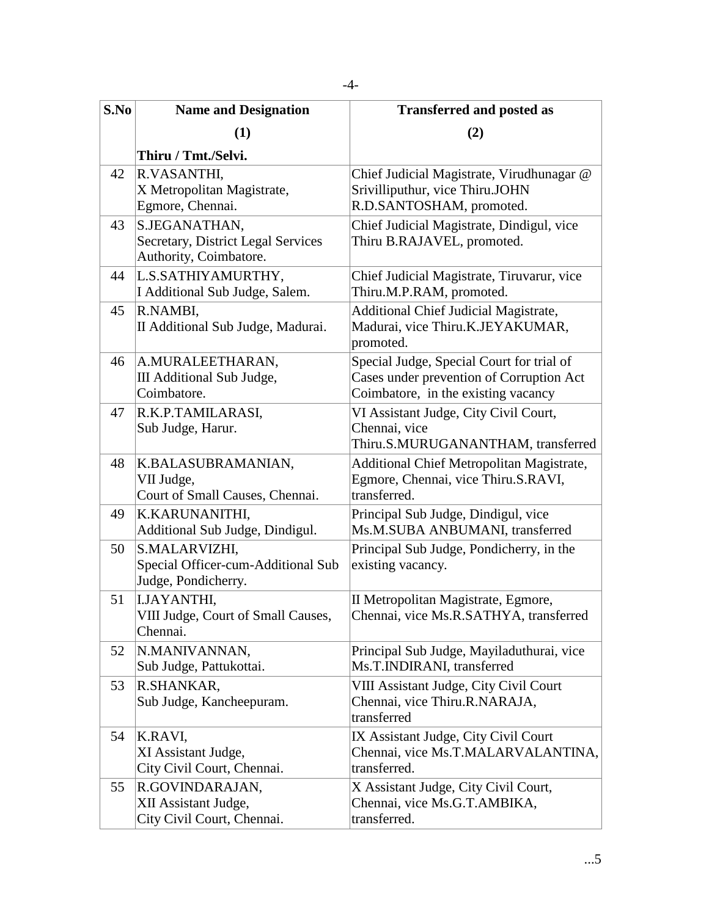| S.No | <b>Name and Designation</b>                                                          | <b>Transferred and posted as</b>                                                                                             |
|------|--------------------------------------------------------------------------------------|------------------------------------------------------------------------------------------------------------------------------|
|      | (1)                                                                                  | (2)                                                                                                                          |
|      | Thiru / Tmt./Selvi.                                                                  |                                                                                                                              |
| 42   | R.VASANTHI,<br>X Metropolitan Magistrate,<br>Egmore, Chennai.                        | Chief Judicial Magistrate, Virudhunagar @<br>Srivilliputhur, vice Thiru.JOHN<br>R.D.SANTOSHAM, promoted.                     |
| 43   | S.JEGANATHAN,<br><b>Secretary, District Legal Services</b><br>Authority, Coimbatore. | Chief Judicial Magistrate, Dindigul, vice<br>Thiru B.RAJAVEL, promoted.                                                      |
| 44   | L.S.SATHIYAMURTHY,<br>I Additional Sub Judge, Salem.                                 | Chief Judicial Magistrate, Tiruvarur, vice<br>Thiru.M.P.RAM, promoted.                                                       |
| 45   | R.NAMBI,<br>II Additional Sub Judge, Madurai.                                        | <b>Additional Chief Judicial Magistrate,</b><br>Madurai, vice Thiru.K.JEYAKUMAR,<br>promoted.                                |
| 46   | A.MURALEETHARAN,<br>III Additional Sub Judge,<br>Coimbatore.                         | Special Judge, Special Court for trial of<br>Cases under prevention of Corruption Act<br>Coimbatore, in the existing vacancy |
| 47   | R.K.P.TAMILARASI,<br>Sub Judge, Harur.                                               | VI Assistant Judge, City Civil Court,<br>Chennai, vice<br>Thiru.S.MURUGANANTHAM, transferred                                 |
| 48   | K.BALASUBRAMANIAN,<br>VII Judge,<br>Court of Small Causes, Chennai.                  | Additional Chief Metropolitan Magistrate,<br>Egmore, Chennai, vice Thiru.S.RAVI,<br>transferred.                             |
| 49   | K.KARUNANITHI,<br>Additional Sub Judge, Dindigul.                                    | Principal Sub Judge, Dindigul, vice<br>Ms.M.SUBA ANBUMANI, transferred                                                       |
| 50   | S.MALARVIZHI,<br>Special Officer-cum-Additional Sub<br>Judge, Pondicherry.           | Principal Sub Judge, Pondicherry, in the<br>existing vacancy.                                                                |
| 51   | <b>I.JAYANTHI,</b><br>VIII Judge, Court of Small Causes,<br>Chennai.                 | II Metropolitan Magistrate, Egmore,<br>Chennai, vice Ms.R.SATHYA, transferred                                                |
| 52   | N.MANIVANNAN,<br>Sub Judge, Pattukottai.                                             | Principal Sub Judge, Mayiladuthurai, vice<br>Ms.T.INDIRANI, transferred                                                      |
| 53   | R.SHANKAR,<br>Sub Judge, Kancheepuram.                                               | VIII Assistant Judge, City Civil Court<br>Chennai, vice Thiru.R.NARAJA,<br>transferred                                       |
| 54   | K.RAVI,<br>XI Assistant Judge,<br>City Civil Court, Chennai.                         | IX Assistant Judge, City Civil Court<br>Chennai, vice Ms.T.MALARVALANTINA,<br>transferred.                                   |
| 55   | R.GOVINDARAJAN,<br>XII Assistant Judge,<br>City Civil Court, Chennai.                | X Assistant Judge, City Civil Court,<br>Chennai, vice Ms.G.T.AMBIKA,<br>transferred.                                         |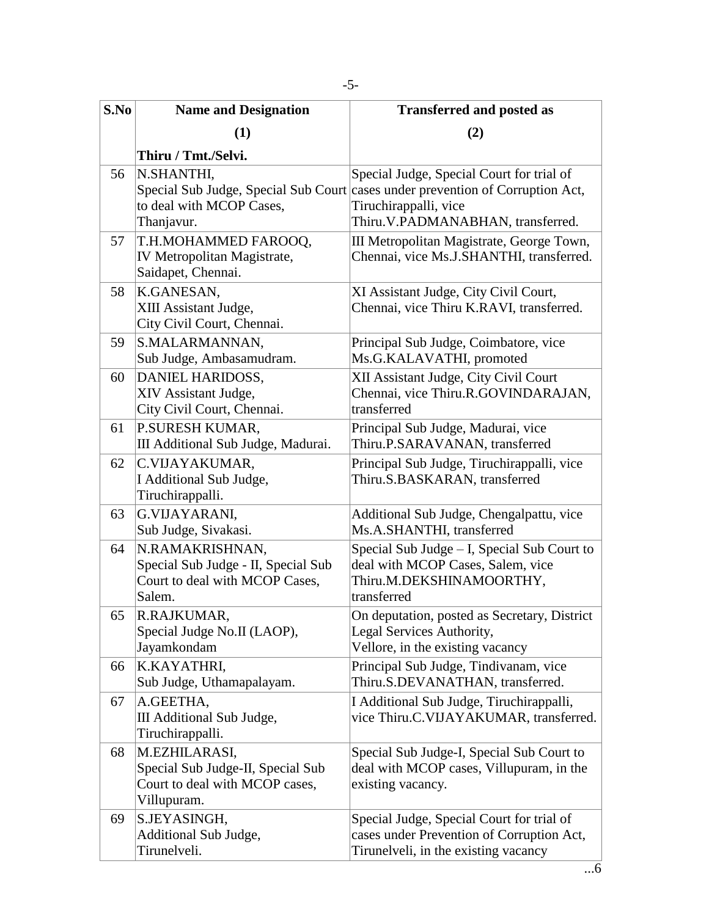| S.No | <b>Name and Designation</b>                                                                         | <b>Transferred and posted as</b>                                                                                                                                                           |
|------|-----------------------------------------------------------------------------------------------------|--------------------------------------------------------------------------------------------------------------------------------------------------------------------------------------------|
|      | (1)                                                                                                 | (2)                                                                                                                                                                                        |
|      | Thiru / Tmt./Selvi.                                                                                 |                                                                                                                                                                                            |
| 56   | N.SHANTHI,<br>to deal with MCOP Cases,<br>Thanjavur.                                                | Special Judge, Special Court for trial of<br>Special Sub Judge, Special Sub Court cases under prevention of Corruption Act,<br>Tiruchirappalli, vice<br>Thiru. V.PADMANABHAN, transferred. |
| 57   | T.H.MOHAMMED FAROOQ,<br>IV Metropolitan Magistrate,<br>Saidapet, Chennai.                           | III Metropolitan Magistrate, George Town,<br>Chennai, vice Ms.J.SHANTHI, transferred.                                                                                                      |
| 58   | K.GANESAN,<br>XIII Assistant Judge,<br>City Civil Court, Chennai.                                   | XI Assistant Judge, City Civil Court,<br>Chennai, vice Thiru K.RAVI, transferred.                                                                                                          |
| 59   | S.MALARMANNAN,<br>Sub Judge, Ambasamudram.                                                          | Principal Sub Judge, Coimbatore, vice<br>Ms.G.KALAVATHI, promoted                                                                                                                          |
| 60   | DANIEL HARIDOSS,<br>XIV Assistant Judge,<br>City Civil Court, Chennai.                              | XII Assistant Judge, City Civil Court<br>Chennai, vice Thiru.R.GOVINDARAJAN,<br>transferred                                                                                                |
| 61   | P.SURESH KUMAR,<br>III Additional Sub Judge, Madurai.                                               | Principal Sub Judge, Madurai, vice<br>Thiru.P.SARAVANAN, transferred                                                                                                                       |
| 62   | C.VIJAYAKUMAR,<br>I Additional Sub Judge,<br>Tiruchirappalli.                                       | Principal Sub Judge, Tiruchirappalli, vice<br>Thiru.S.BASKARAN, transferred                                                                                                                |
| 63   | G.VIJAYARANI,<br>Sub Judge, Sivakasi.                                                               | Additional Sub Judge, Chengalpattu, vice<br>Ms.A.SHANTHI, transferred                                                                                                                      |
| 64   | N.RAMAKRISHNAN,<br>Special Sub Judge - II, Special Sub<br>Court to deal with MCOP Cases,<br>Salem.  | Special Sub Judge – I, Special Sub Court to<br>deal with MCOP Cases, Salem, vice<br>Thiru.M.DEKSHINAMOORTHY,<br>transferred                                                                |
| 65   | R.RAJKUMAR,<br>Special Judge No.II (LAOP),<br>Jayamkondam                                           | On deputation, posted as Secretary, District<br>Legal Services Authority,<br>Vellore, in the existing vacancy                                                                              |
| 66   | K.KAYATHRI,<br>Sub Judge, Uthamapalayam.                                                            | Principal Sub Judge, Tindivanam, vice<br>Thiru.S.DEVANATHAN, transferred.                                                                                                                  |
| 67   | A.GEETHA,<br>III Additional Sub Judge,<br>Tiruchirappalli.                                          | I Additional Sub Judge, Tiruchirappalli,<br>vice Thiru.C.VIJAYAKUMAR, transferred.                                                                                                         |
| 68   | M.EZHILARASI,<br>Special Sub Judge-II, Special Sub<br>Court to deal with MCOP cases,<br>Villupuram. | Special Sub Judge-I, Special Sub Court to<br>deal with MCOP cases, Villupuram, in the<br>existing vacancy.                                                                                 |
| 69   | S.JEYASINGH,<br>Additional Sub Judge,<br>Tirunelveli.                                               | Special Judge, Special Court for trial of<br>cases under Prevention of Corruption Act,<br>Tirunelveli, in the existing vacancy                                                             |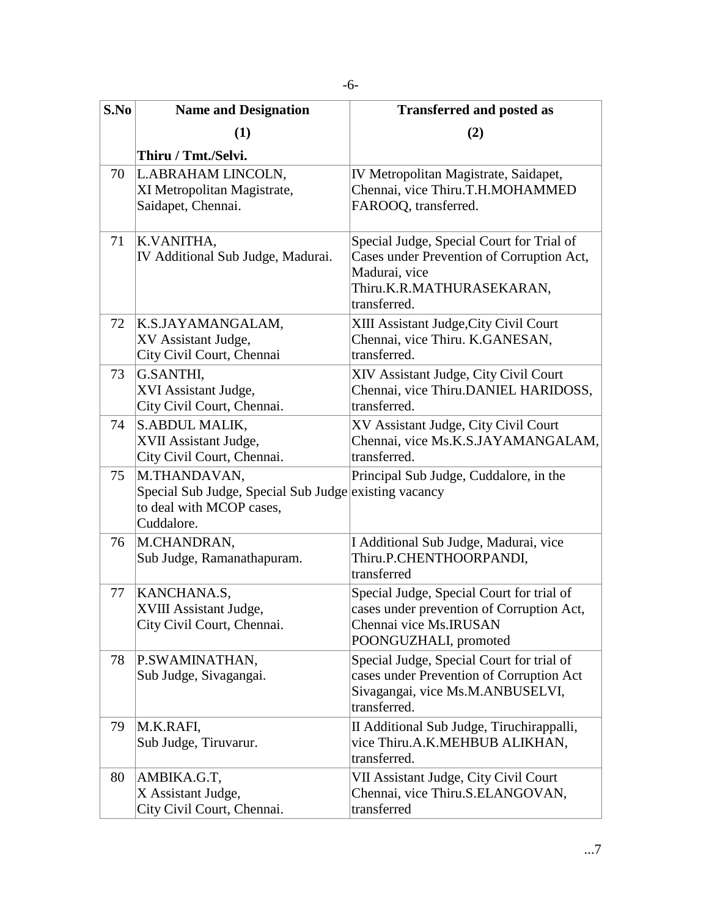| S.No | <b>Name and Designation</b>                                                                                     | <b>Transferred and posted as</b>                                                                                                                     |
|------|-----------------------------------------------------------------------------------------------------------------|------------------------------------------------------------------------------------------------------------------------------------------------------|
|      | (1)                                                                                                             | (2)                                                                                                                                                  |
|      | Thiru / Tmt./Selvi.                                                                                             |                                                                                                                                                      |
| 70   | L.ABRAHAM LINCOLN,<br>XI Metropolitan Magistrate,<br>Saidapet, Chennai.                                         | IV Metropolitan Magistrate, Saidapet,<br>Chennai, vice Thiru.T.H.MOHAMMED<br>FAROOQ, transferred.                                                    |
| 71   | K.VANITHA,<br>IV Additional Sub Judge, Madurai.                                                                 | Special Judge, Special Court for Trial of<br>Cases under Prevention of Corruption Act,<br>Madurai, vice<br>Thiru.K.R.MATHURASEKARAN,<br>transferred. |
| 72   | K.S.JAYAMANGALAM,<br>XV Assistant Judge,<br>City Civil Court, Chennai                                           | XIII Assistant Judge, City Civil Court<br>Chennai, vice Thiru. K.GANESAN,<br>transferred.                                                            |
| 73   | G.SANTHI,<br>XVI Assistant Judge,<br>City Civil Court, Chennai.                                                 | XIV Assistant Judge, City Civil Court<br>Chennai, vice Thiru.DANIEL HARIDOSS,<br>transferred.                                                        |
| 74   | S.ABDUL MALIK,<br>XVII Assistant Judge,<br>City Civil Court, Chennai.                                           | XV Assistant Judge, City Civil Court<br>Chennai, vice Ms.K.S.JAYAMANGALAM,<br>transferred.                                                           |
| 75   | M.THANDAVAN,<br>Special Sub Judge, Special Sub Judge existing vacancy<br>to deal with MCOP cases,<br>Cuddalore. | Principal Sub Judge, Cuddalore, in the                                                                                                               |
| 76   | M.CHANDRAN,<br>Sub Judge, Ramanathapuram.                                                                       | I Additional Sub Judge, Madurai, vice<br>Thiru.P.CHENTHOORPANDI,<br>transferred                                                                      |
| 77   | KANCHANA.S,<br>XVIII Assistant Judge,<br>City Civil Court, Chennai.                                             | Special Judge, Special Court for trial of<br>cases under prevention of Corruption Act,<br>Chennai vice Ms. IRUSAN<br>POONGUZHALI, promoted           |
| 78   | P.SWAMINATHAN,<br>Sub Judge, Sivagangai.                                                                        | Special Judge, Special Court for trial of<br>cases under Prevention of Corruption Act<br>Sivagangai, vice Ms.M.ANBUSELVI,<br>transferred.            |
| 79   | M.K.RAFI,<br>Sub Judge, Tiruvarur.                                                                              | II Additional Sub Judge, Tiruchirappalli,<br>vice Thiru.A.K.MEHBUB ALIKHAN,<br>transferred.                                                          |
| 80   | AMBIKA.G.T,<br>X Assistant Judge,<br>City Civil Court, Chennai.                                                 | VII Assistant Judge, City Civil Court<br>Chennai, vice Thiru.S.ELANGOVAN,<br>transferred                                                             |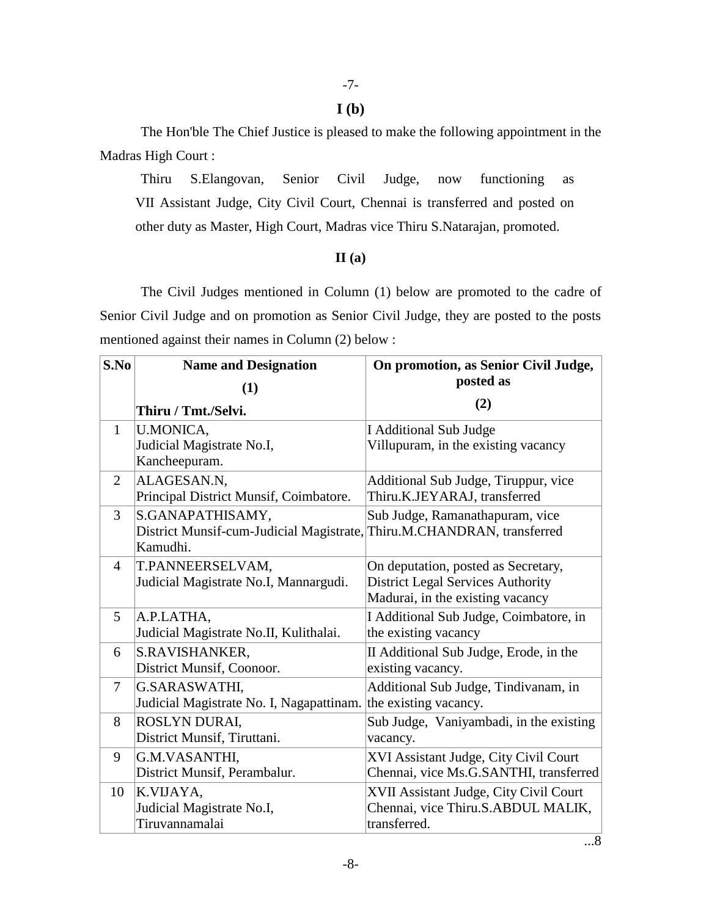### **I (b)**

The Hon'ble The Chief Justice is pleased to make the following appointment in the Madras High Court :

Thiru S.Elangovan, Senior Civil Judge, now functioning as VII Assistant Judge, City Civil Court, Chennai is transferred and posted on other duty as Master, High Court, Madras vice Thiru S.Natarajan, promoted.

# **II (a)**

The Civil Judges mentioned in Column (1) below are promoted to the cadre of Senior Civil Judge and on promotion as Senior Civil Judge, they are posted to the posts mentioned against their names in Column (2) below :

| S.No           | <b>Name and Designation</b>                                            | On promotion, as Senior Civil Judge,<br>posted as |
|----------------|------------------------------------------------------------------------|---------------------------------------------------|
|                | (1)                                                                    |                                                   |
|                | Thiru / Tmt./Selvi.                                                    | (2)                                               |
| $\mathbf{1}$   | <b>U.MONICA,</b>                                                       | <b>I</b> Additional Sub Judge                     |
|                | Judicial Magistrate No.I,                                              | Villupuram, in the existing vacancy               |
|                | Kancheepuram.                                                          |                                                   |
| $\overline{2}$ | ALAGESAN.N,                                                            | Additional Sub Judge, Tiruppur, vice              |
|                | Principal District Munsif, Coimbatore.                                 | Thiru.K.JEYARAJ, transferred                      |
| $\overline{3}$ | S.GANAPATHISAMY,                                                       | Sub Judge, Ramanathapuram, vice                   |
|                | District Munsif-cum-Judicial Magistrate, Thiru.M.CHANDRAN, transferred |                                                   |
|                | Kamudhi.                                                               |                                                   |
| $\overline{4}$ | T.PANNEERSELVAM,                                                       | On deputation, posted as Secretary,               |
|                | Judicial Magistrate No.I, Mannargudi.                                  | <b>District Legal Services Authority</b>          |
|                |                                                                        | Madurai, in the existing vacancy                  |
| 5              | A.P.LATHA,                                                             | I Additional Sub Judge, Coimbatore, in            |
|                | Judicial Magistrate No.II, Kulithalai.                                 | the existing vacancy                              |
| 6              | S.RAVISHANKER,                                                         | II Additional Sub Judge, Erode, in the            |
|                | District Munsif, Coonoor.                                              | existing vacancy.                                 |
| $\overline{7}$ | G.SARASWATHI,                                                          | Additional Sub Judge, Tindivanam, in              |
|                | Judicial Magistrate No. I, Nagapattinam.                               | the existing vacancy.                             |
| 8              | ROSLYN DURAI,                                                          | Sub Judge, Vaniyambadi, in the existing           |
|                | District Munsif, Tiruttani.                                            | vacancy.                                          |
| 9              | G.M.VASANTHI,                                                          | XVI Assistant Judge, City Civil Court             |
|                | District Munsif, Perambalur.                                           | Chennai, vice Ms.G.SANTHI, transferred            |
| 10             | K.VIJAYA.                                                              | XVII Assistant Judge, City Civil Court            |
|                | Judicial Magistrate No.I,                                              | Chennai, vice Thiru.S.ABDUL MALIK,                |
|                | Tiruvannamalai                                                         | transferred.                                      |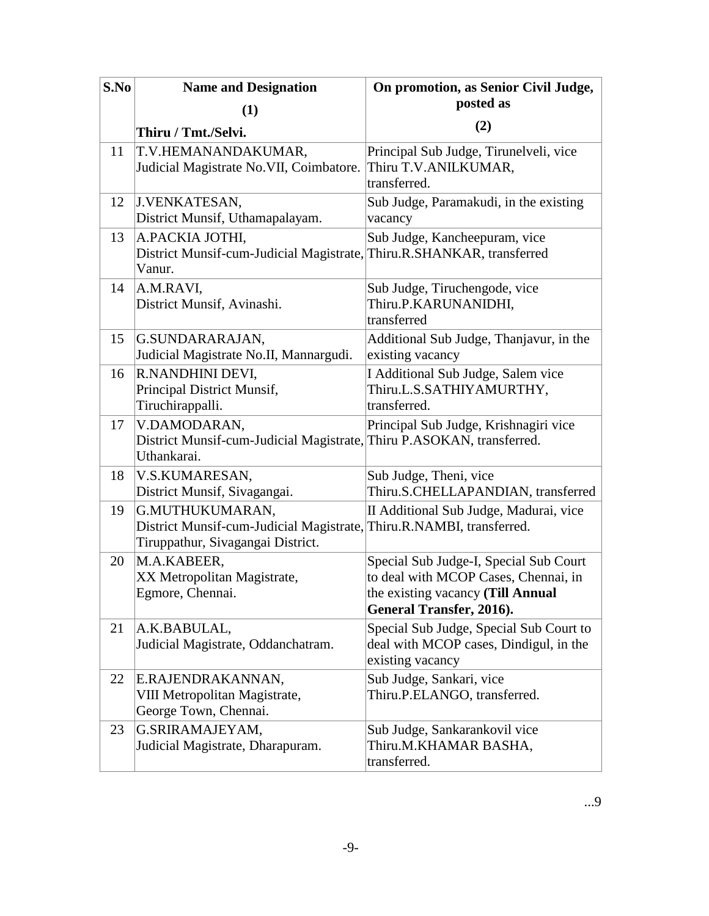| S.No | <b>Name and Designation</b>                                                                                                  | On promotion, as Senior Civil Judge,                                                                                                            |
|------|------------------------------------------------------------------------------------------------------------------------------|-------------------------------------------------------------------------------------------------------------------------------------------------|
|      | (1)                                                                                                                          | posted as                                                                                                                                       |
|      | Thiru / Tmt./Selvi.                                                                                                          | (2)                                                                                                                                             |
| 11   | T.V.HEMANANDAKUMAR,<br>Judicial Magistrate No. VII, Coimbatore.                                                              | Principal Sub Judge, Tirunelveli, vice<br>Thiru T.V.ANILKUMAR,<br>transferred.                                                                  |
| 12   | J.VENKATESAN,<br>District Munsif, Uthamapalayam.                                                                             | Sub Judge, Paramakudi, in the existing<br>vacancy                                                                                               |
| 13   | A.PACKIA JOTHI,<br>District Munsif-cum-Judicial Magistrate, Thiru.R.SHANKAR, transferred<br>Vanur.                           | Sub Judge, Kancheepuram, vice                                                                                                                   |
| 14   | A.M.RAVI,<br>District Munsif, Avinashi.                                                                                      | Sub Judge, Tiruchengode, vice<br>Thiru.P.KARUNANIDHI,<br>transferred                                                                            |
| 15   | G.SUNDARARAJAN,<br>Judicial Magistrate No.II, Mannargudi.                                                                    | Additional Sub Judge, Thanjavur, in the<br>existing vacancy                                                                                     |
| 16   | R.NANDHINI DEVI,<br>Principal District Munsif,<br>Tiruchirappalli.                                                           | I Additional Sub Judge, Salem vice<br>Thiru.L.S.SATHIYAMURTHY,<br>transferred.                                                                  |
| 17   | V.DAMODARAN,<br>District Munsif-cum-Judicial Magistrate, Thiru P.ASOKAN, transferred.<br>Uthankarai.                         | Principal Sub Judge, Krishnagiri vice                                                                                                           |
| 18   | V.S.KUMARESAN,<br>District Munsif, Sivagangai.                                                                               | Sub Judge, Theni, vice<br>Thiru.S.CHELLAPANDIAN, transferred                                                                                    |
| 19   | G.MUTHUKUMARAN,<br>District Munsif-cum-Judicial Magistrate, Thiru.R.NAMBI, transferred.<br>Tiruppathur, Sivagangai District. | II Additional Sub Judge, Madurai, vice                                                                                                          |
| 20   | M.A.KABEER,<br>XX Metropolitan Magistrate,<br>Egmore, Chennai.                                                               | Special Sub Judge-I, Special Sub Court<br>to deal with MCOP Cases, Chennai, in<br>the existing vacancy (Till Annual<br>General Transfer, 2016). |
| 21   | A.K.BABULAL,<br>Judicial Magistrate, Oddanchatram.                                                                           | Special Sub Judge, Special Sub Court to<br>deal with MCOP cases, Dindigul, in the<br>existing vacancy                                           |
| 22   | E.RAJENDRAKANNAN,<br>VIII Metropolitan Magistrate,<br>George Town, Chennai.                                                  | Sub Judge, Sankari, vice<br>Thiru.P.ELANGO, transferred.                                                                                        |
| 23   | G.SRIRAMAJEYAM,<br>Judicial Magistrate, Dharapuram.                                                                          | Sub Judge, Sankarankovil vice<br>Thiru.M.KHAMAR BASHA,<br>transferred.                                                                          |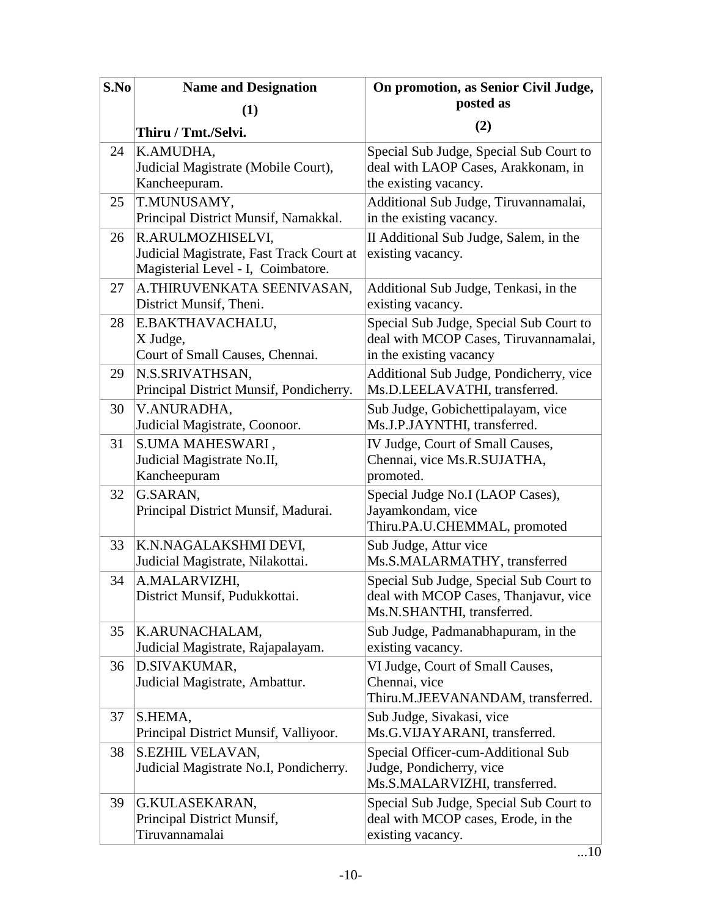| S.No | <b>Name and Designation</b>                                                                         | On promotion, as Senior Civil Judge,                                                                           |
|------|-----------------------------------------------------------------------------------------------------|----------------------------------------------------------------------------------------------------------------|
|      | (1)                                                                                                 | posted as                                                                                                      |
|      | Thiru / Tmt./Selvi.                                                                                 | (2)                                                                                                            |
| 24   | K.AMUDHA,<br>Judicial Magistrate (Mobile Court),<br>Kancheepuram.                                   | Special Sub Judge, Special Sub Court to<br>deal with LAOP Cases, Arakkonam, in<br>the existing vacancy.        |
| 25   | T.MUNUSAMY,<br>Principal District Munsif, Namakkal.                                                 | Additional Sub Judge, Tiruvannamalai,<br>in the existing vacancy.                                              |
| 26   | R.ARULMOZHISELVI,<br>Judicial Magistrate, Fast Track Court at<br>Magisterial Level - I, Coimbatore. | II Additional Sub Judge, Salem, in the<br>existing vacancy.                                                    |
| 27   | A.THIRUVENKATA SEENIVASAN,<br>District Munsif, Theni.                                               | Additional Sub Judge, Tenkasi, in the<br>existing vacancy.                                                     |
| 28   | E.BAKTHAVACHALU,<br>X Judge,<br>Court of Small Causes, Chennai.                                     | Special Sub Judge, Special Sub Court to<br>deal with MCOP Cases, Tiruvannamalai,<br>in the existing vacancy    |
| 29   | N.S.SRIVATHSAN,<br>Principal District Munsif, Pondicherry.                                          | Additional Sub Judge, Pondicherry, vice<br>Ms.D.LEELAVATHI, transferred.                                       |
| 30   | V.ANURADHA,<br>Judicial Magistrate, Coonoor.                                                        | Sub Judge, Gobichettipalayam, vice<br>Ms.J.P.JAYNTHI, transferred.                                             |
| 31   | S.UMA MAHESWARI,<br>Judicial Magistrate No.II,<br>Kancheepuram                                      | IV Judge, Court of Small Causes,<br>Chennai, vice Ms.R.SUJATHA,<br>promoted.                                   |
| 32   | G.SARAN,<br>Principal District Munsif, Madurai.                                                     | Special Judge No.I (LAOP Cases),<br>Jayamkondam, vice<br>Thiru.PA.U.CHEMMAL, promoted                          |
| 33   | K.N.NAGALAKSHMI DEVI,<br>Judicial Magistrate, Nilakottai.                                           | Sub Judge, Attur vice<br>Ms.S.MALARMATHY, transferred                                                          |
| 34   | A.MALARVIZHI,<br>District Munsif, Pudukkottai.                                                      | Special Sub Judge, Special Sub Court to<br>deal with MCOP Cases, Thanjavur, vice<br>Ms.N.SHANTHI, transferred. |
| 35   | K.ARUNACHALAM,<br>Judicial Magistrate, Rajapalayam.                                                 | Sub Judge, Padmanabhapuram, in the<br>existing vacancy.                                                        |
| 36   | D.SIVAKUMAR,<br>Judicial Magistrate, Ambattur.                                                      | VI Judge, Court of Small Causes,<br>Chennai, vice<br>Thiru.M.JEEVANANDAM, transferred.                         |
| 37   | S.HEMA,<br>Principal District Munsif, Valliyoor.                                                    | Sub Judge, Sivakasi, vice<br>Ms.G.VIJAYARANI, transferred.                                                     |
| 38   | S.EZHIL VELAVAN,<br>Judicial Magistrate No.I, Pondicherry.                                          | Special Officer-cum-Additional Sub<br>Judge, Pondicherry, vice<br>Ms.S.MALARVIZHI, transferred.                |
| 39   | G.KULASEKARAN,<br>Principal District Munsif,<br>Tiruvannamalai                                      | Special Sub Judge, Special Sub Court to<br>deal with MCOP cases, Erode, in the<br>existing vacancy.            |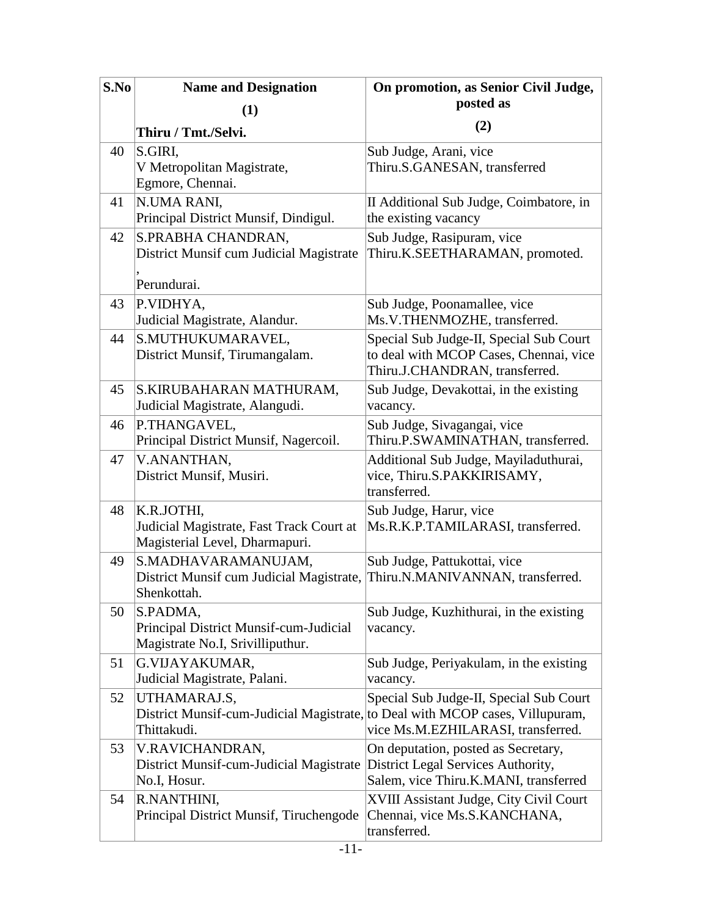| S.No | <b>Name and Designation</b>                                                                                  | On promotion, as Senior Civil Judge,<br>posted as                                                                   |
|------|--------------------------------------------------------------------------------------------------------------|---------------------------------------------------------------------------------------------------------------------|
|      | (1)                                                                                                          |                                                                                                                     |
|      | Thiru / Tmt./Selvi.                                                                                          | (2)                                                                                                                 |
| 40   | S.GIRI,<br>V Metropolitan Magistrate,<br>Egmore, Chennai.                                                    | Sub Judge, Arani, vice<br>Thiru.S.GANESAN, transferred                                                              |
| 41   | N.UMA RANI,<br>Principal District Munsif, Dindigul.                                                          | II Additional Sub Judge, Coimbatore, in<br>the existing vacancy                                                     |
| 42   | S.PRABHA CHANDRAN,<br>District Munsif cum Judicial Magistrate                                                | Sub Judge, Rasipuram, vice<br>Thiru.K.SEETHARAMAN, promoted.                                                        |
|      | Perundurai.                                                                                                  |                                                                                                                     |
| 43   | P.VIDHYA,<br>Judicial Magistrate, Alandur.                                                                   | Sub Judge, Poonamallee, vice<br>Ms.V.THENMOZHE, transferred.                                                        |
| 44   | S.MUTHUKUMARAVEL,<br>District Munsif, Tirumangalam.                                                          | Special Sub Judge-II, Special Sub Court<br>to deal with MCOP Cases, Chennai, vice<br>Thiru.J.CHANDRAN, transferred. |
| 45   | S.KIRUBAHARAN MATHURAM,<br>Judicial Magistrate, Alangudi.                                                    | Sub Judge, Devakottai, in the existing<br>vacancy.                                                                  |
| 46   | P.THANGAVEL,<br>Principal District Munsif, Nagercoil.                                                        | Sub Judge, Sivagangai, vice<br>Thiru.P.SWAMINATHAN, transferred.                                                    |
| 47   | V.ANANTHAN,<br>District Munsif, Musiri.                                                                      | Additional Sub Judge, Mayiladuthurai,<br>vice, Thiru.S.PAKKIRISAMY,<br>transferred.                                 |
| 48   | K.R.JOTHI,<br>Judicial Magistrate, Fast Track Court at<br>Magisterial Level, Dharmapuri.                     | Sub Judge, Harur, vice<br>Ms.R.K.P.TAMILARASI, transferred.                                                         |
| 49   | S.MADHAVARAMANUJAM,<br>District Munsif cum Judicial Magistrate,<br>Shenkottah.                               | Sub Judge, Pattukottai, vice<br>Thiru.N.MANIVANNAN, transferred.                                                    |
| 50   | S.PADMA,<br>Principal District Munsif-cum-Judicial<br>Magistrate No.I, Srivilliputhur.                       | Sub Judge, Kuzhithurai, in the existing<br>vacancy.                                                                 |
| 51   | G.VIJAYAKUMAR,<br>Judicial Magistrate, Palani.                                                               | Sub Judge, Periyakulam, in the existing<br>vacancy.                                                                 |
| 52   | UTHAMARAJ.S,<br>District Munsif-cum-Judicial Magistrate, to Deal with MCOP cases, Villupuram,<br>Thittakudi. | Special Sub Judge-II, Special Sub Court<br>vice Ms.M.EZHILARASI, transferred.                                       |
| 53   | V.RAVICHANDRAN,<br>District Munsif-cum-Judicial Magistrate<br>No.I, Hosur.                                   | On deputation, posted as Secretary,<br>District Legal Services Authority,<br>Salem, vice Thiru.K.MANI, transferred  |
| 54   | R.NANTHINI,<br>Principal District Munsif, Tiruchengode                                                       | XVIII Assistant Judge, City Civil Court<br>Chennai, vice Ms.S.KANCHANA,<br>transferred.                             |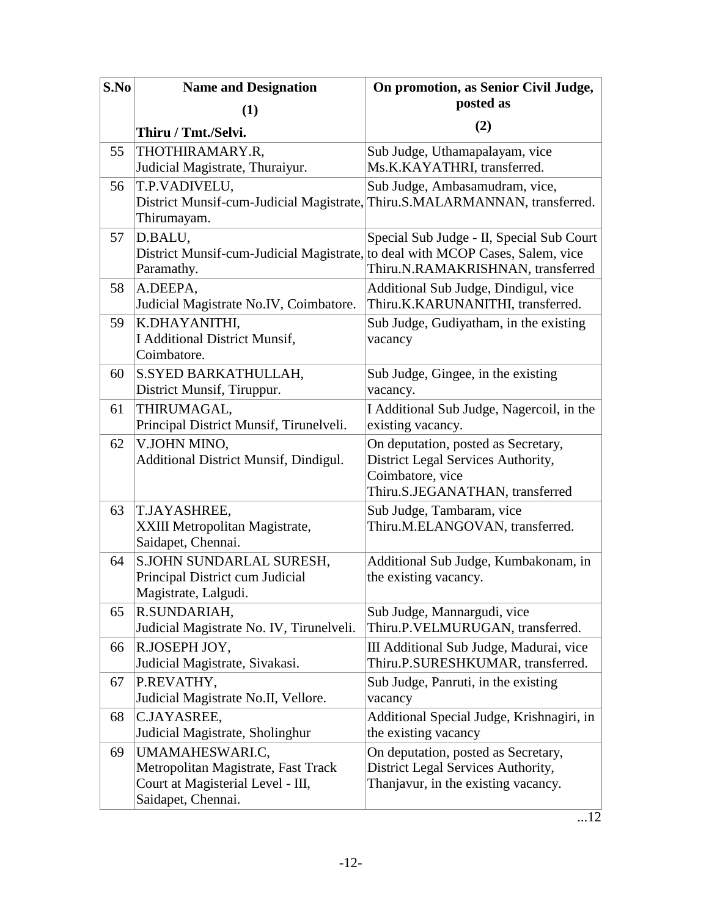| S.No | <b>Name and Designation</b>                                                                                       | On promotion, as Senior Civil Judge,                                                                                             |
|------|-------------------------------------------------------------------------------------------------------------------|----------------------------------------------------------------------------------------------------------------------------------|
|      | (1)                                                                                                               | posted as                                                                                                                        |
|      | Thiru / Tmt./Selvi.                                                                                               | (2)                                                                                                                              |
| 55   | THOTHIRAMARY.R,<br>Judicial Magistrate, Thuraiyur.                                                                | Sub Judge, Uthamapalayam, vice<br>Ms.K.KAYATHRI, transferred.                                                                    |
| 56   | T.P.VADIVELU,<br>Thirumayam.                                                                                      | Sub Judge, Ambasamudram, vice,<br>District Munsif-cum-Judicial Magistrate, Thiru.S.MALARMANNAN, transferred.                     |
| 57   | D.BALU,<br>District Munsif-cum-Judicial Magistrate, to deal with MCOP Cases, Salem, vice<br>Paramathy.            | Special Sub Judge - II, Special Sub Court<br>Thiru.N.RAMAKRISHNAN, transferred                                                   |
| 58   | A.DEEPA,<br>Judicial Magistrate No.IV, Coimbatore.                                                                | Additional Sub Judge, Dindigul, vice<br>Thiru.K.KARUNANITHI, transferred.                                                        |
| 59   | K.DHAYANITHI,<br><b>I Additional District Munsif,</b><br>Coimbatore.                                              | Sub Judge, Gudiyatham, in the existing<br>vacancy                                                                                |
| 60   | S.SYED BARKATHULLAH,<br>District Munsif, Tiruppur.                                                                | Sub Judge, Gingee, in the existing<br>vacancy.                                                                                   |
| 61   | THIRUMAGAL,<br>Principal District Munsif, Tirunelveli.                                                            | I Additional Sub Judge, Nagercoil, in the<br>existing vacancy.                                                                   |
| 62   | V.JOHN MINO,<br>Additional District Munsif, Dindigul.                                                             | On deputation, posted as Secretary,<br>District Legal Services Authority,<br>Coimbatore, vice<br>Thiru.S.JEGANATHAN, transferred |
| 63   | T.JAYASHREE,<br>XXIII Metropolitan Magistrate,<br>Saidapet, Chennai.                                              | Sub Judge, Tambaram, vice<br>Thiru.M.ELANGOVAN, transferred.                                                                     |
| 64   | S.JOHN SUNDARLAL SURESH,<br>Principal District cum Judicial<br>Magistrate, Lalgudi.                               | Additional Sub Judge, Kumbakonam, in<br>the existing vacancy.                                                                    |
| 65   | R.SUNDARIAH,<br>Judicial Magistrate No. IV, Tirunelveli.                                                          | Sub Judge, Mannargudi, vice<br>Thiru.P.VELMURUGAN, transferred.                                                                  |
| 66   | R.JOSEPH JOY,<br>Judicial Magistrate, Sivakasi.                                                                   | III Additional Sub Judge, Madurai, vice<br>Thiru.P.SURESHKUMAR, transferred.                                                     |
| 67   | P.REVATHY,<br>Judicial Magistrate No.II, Vellore.                                                                 | Sub Judge, Panruti, in the existing<br>vacancy                                                                                   |
| 68   | C.JAYASREE,<br>Judicial Magistrate, Sholinghur                                                                    | Additional Special Judge, Krishnagiri, in<br>the existing vacancy                                                                |
| 69   | UMAMAHESWARI.C,<br>Metropolitan Magistrate, Fast Track<br>Court at Magisterial Level - III,<br>Saidapet, Chennai. | On deputation, posted as Secretary,<br>District Legal Services Authority,<br>Thanjavur, in the existing vacancy.                 |

 $\overline{...12}$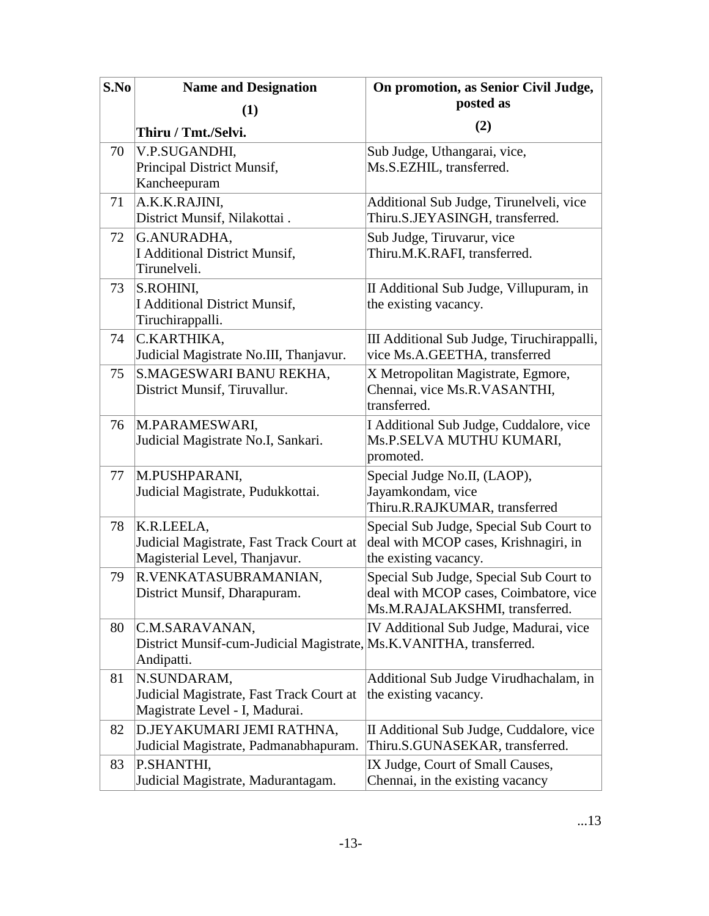| S.No | <b>Name and Designation</b>                                                                         | On promotion, as Senior Civil Judge,                                                                                |
|------|-----------------------------------------------------------------------------------------------------|---------------------------------------------------------------------------------------------------------------------|
|      | (1)                                                                                                 | posted as                                                                                                           |
|      | Thiru / Tmt./Selvi.                                                                                 | (2)                                                                                                                 |
| 70   | V.P.SUGANDHI,<br>Principal District Munsif,<br>Kancheepuram                                         | Sub Judge, Uthangarai, vice,<br>Ms.S.EZHIL, transferred.                                                            |
| 71   | A.K.K.RAJINI,<br>District Munsif, Nilakottai.                                                       | Additional Sub Judge, Tirunelveli, vice<br>Thiru.S.JEYASINGH, transferred.                                          |
| 72   | G.ANURADHA,<br><b>I Additional District Munsif,</b><br>Tirunelveli.                                 | Sub Judge, Tiruvarur, vice<br>Thiru.M.K.RAFI, transferred.                                                          |
| 73   | S.ROHINI,<br><b>I Additional District Munsif,</b><br>Tiruchirappalli.                               | II Additional Sub Judge, Villupuram, in<br>the existing vacancy.                                                    |
| 74   | C.KARTHIKA,<br>Judicial Magistrate No.III, Thanjavur.                                               | III Additional Sub Judge, Tiruchirappalli,<br>vice Ms.A.GEETHA, transferred                                         |
| 75   | S.MAGESWARI BANU REKHA,<br>District Munsif, Tiruvallur.                                             | X Metropolitan Magistrate, Egmore,<br>Chennai, vice Ms.R.VASANTHI,<br>transferred.                                  |
| 76   | M.PARAMESWARI,<br>Judicial Magistrate No.I, Sankari.                                                | I Additional Sub Judge, Cuddalore, vice<br>Ms.P.SELVA MUTHU KUMARI,<br>promoted.                                    |
| 77   | M.PUSHPARANI,<br>Judicial Magistrate, Pudukkottai.                                                  | Special Judge No.II, (LAOP),<br>Jayamkondam, vice<br>Thiru.R.RAJKUMAR, transferred                                  |
| 78   | K.R.LEELA,<br>Judicial Magistrate, Fast Track Court at<br>Magisterial Level, Thanjavur.             | Special Sub Judge, Special Sub Court to<br>deal with MCOP cases, Krishnagiri, in<br>the existing vacancy.           |
| 79   | R.VENKATASUBRAMANIAN,<br>District Munsif, Dharapuram.                                               | Special Sub Judge, Special Sub Court to<br>deal with MCOP cases, Coimbatore, vice<br>Ms.M.RAJALAKSHMI, transferred. |
| 80   | C.M.SARAVANAN,<br>District Munsif-cum-Judicial Magistrate, Ms.K.VANITHA, transferred.<br>Andipatti. | IV Additional Sub Judge, Madurai, vice                                                                              |
| 81   | N.SUNDARAM,<br>Judicial Magistrate, Fast Track Court at<br>Magistrate Level - I, Madurai.           | Additional Sub Judge Virudhachalam, in<br>the existing vacancy.                                                     |
| 82   | D.JEYAKUMARI JEMI RATHNA,<br>Judicial Magistrate, Padmanabhapuram.                                  | II Additional Sub Judge, Cuddalore, vice<br>Thiru.S.GUNASEKAR, transferred.                                         |
| 83   | P.SHANTHI,<br>Judicial Magistrate, Madurantagam.                                                    | IX Judge, Court of Small Causes,<br>Chennai, in the existing vacancy                                                |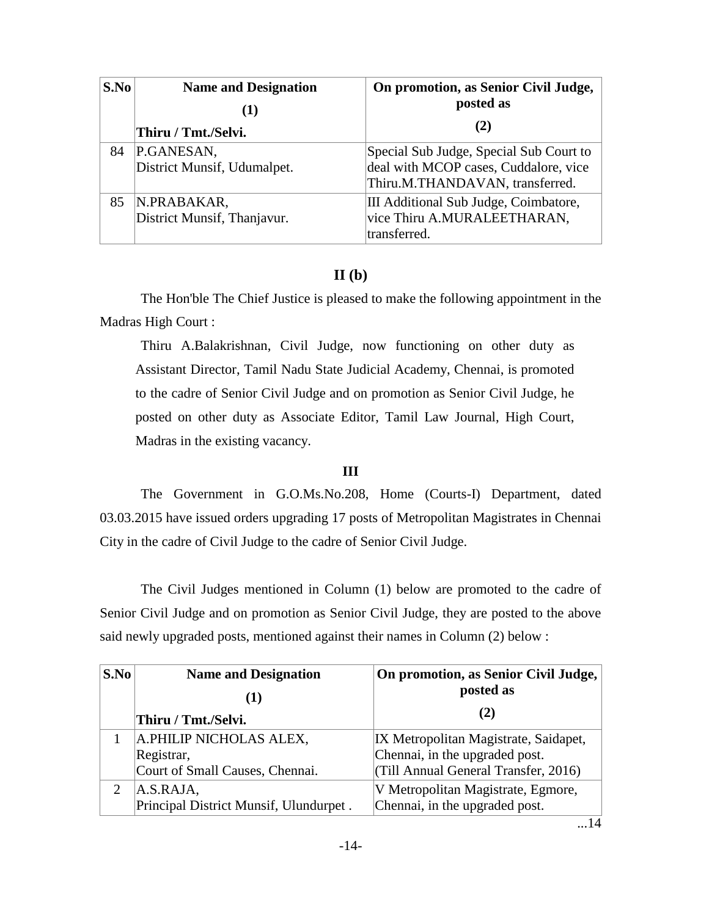| S.No | <b>Name and Designation</b>                | On promotion, as Senior Civil Judge,                                                                                |
|------|--------------------------------------------|---------------------------------------------------------------------------------------------------------------------|
|      |                                            | posted as                                                                                                           |
|      | Thiru / Tmt./Selvi.                        | (2)                                                                                                                 |
| 84   | P.GANESAN,<br>District Munsif, Udumalpet.  | Special Sub Judge, Special Sub Court to<br>deal with MCOP cases, Cuddalore, vice<br>Thiru.M.THANDAVAN, transferred. |
| 85   | N.PRABAKAR,<br>District Munsif, Thanjavur. | III Additional Sub Judge, Coimbatore,<br>vice Thiru A.MURALEETHARAN,<br>transferred.                                |

## **II (b)**

The Hon'ble The Chief Justice is pleased to make the following appointment in the Madras High Court :

Thiru A.Balakrishnan, Civil Judge, now functioning on other duty as Assistant Director, Tamil Nadu State Judicial Academy, Chennai, is promoted to the cadre of Senior Civil Judge and on promotion as Senior Civil Judge, he posted on other duty as Associate Editor, Tamil Law Journal, High Court, Madras in the existing vacancy.

### **III**

The Government in G.O.Ms.No.208, Home (Courts-I) Department, dated 03.03.2015 have issued orders upgrading 17 posts of Metropolitan Magistrates in Chennai City in the cadre of Civil Judge to the cadre of Senior Civil Judge.

The Civil Judges mentioned in Column (1) below are promoted to the cadre of Senior Civil Judge and on promotion as Senior Civil Judge, they are posted to the above said newly upgraded posts, mentioned against their names in Column (2) below :

| S.No | <b>Name and Designation</b>            | On promotion, as Senior Civil Judge,  |
|------|----------------------------------------|---------------------------------------|
|      |                                        | posted as                             |
|      | Thiru / Tmt./Selvi.                    | (2)                                   |
|      | A.PHILIP NICHOLAS ALEX,                | IX Metropolitan Magistrate, Saidapet, |
|      | Registrar,                             | Chennai, in the upgraded post.        |
|      | Court of Small Causes, Chennai.        | (Till Annual General Transfer, 2016)  |
|      | A.S.RAJA,                              | V Metropolitan Magistrate, Egmore,    |
|      | Principal District Munsif, Ulundurpet. | Chennai, in the upgraded post.        |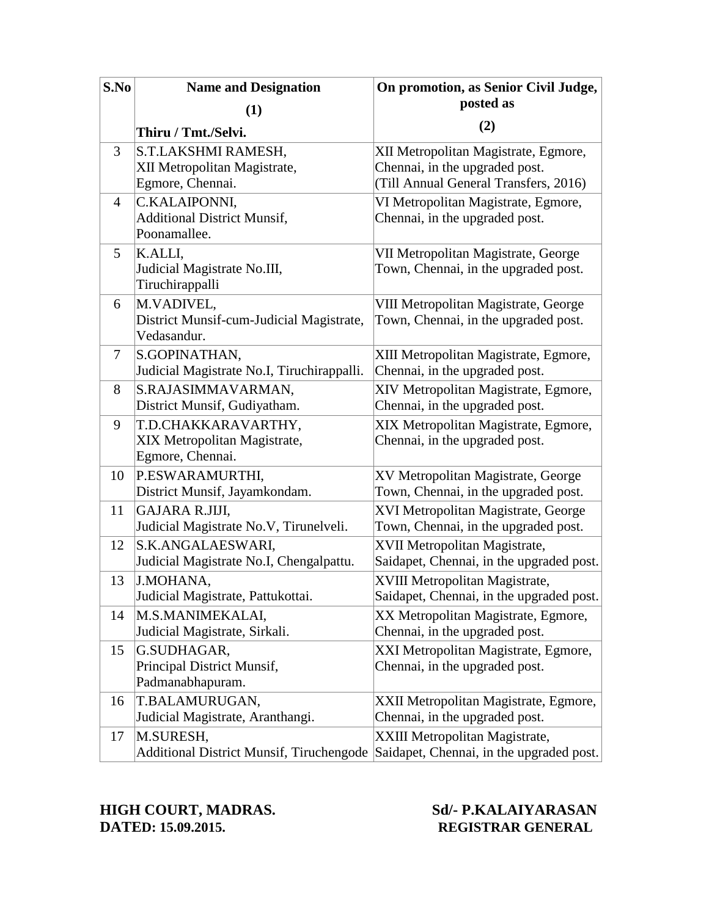| S.No | <b>Name and Designation</b>                                                                    | On promotion, as Senior Civil Judge,                                                                            |
|------|------------------------------------------------------------------------------------------------|-----------------------------------------------------------------------------------------------------------------|
|      | (1)                                                                                            | posted as                                                                                                       |
|      | Thiru / Tmt./Selvi.                                                                            | (2)                                                                                                             |
| 3    | S.T.LAKSHMI RAMESH,<br>XII Metropolitan Magistrate,<br>Egmore, Chennai.                        | XII Metropolitan Magistrate, Egmore,<br>Chennai, in the upgraded post.<br>(Till Annual General Transfers, 2016) |
| 4    | C.KALAIPONNI,<br><b>Additional District Munsif,</b><br>Poonamallee.                            | VI Metropolitan Magistrate, Egmore,<br>Chennai, in the upgraded post.                                           |
| 5    | K.ALLI,<br>Judicial Magistrate No.III,<br>Tiruchirappalli                                      | VII Metropolitan Magistrate, George<br>Town, Chennai, in the upgraded post.                                     |
| 6    | M.VADIVEL,<br>District Munsif-cum-Judicial Magistrate,<br>Vedasandur.                          | VIII Metropolitan Magistrate, George<br>Town, Chennai, in the upgraded post.                                    |
| 7    | S.GOPINATHAN,<br>Judicial Magistrate No.I, Tiruchirappalli.                                    | XIII Metropolitan Magistrate, Egmore,<br>Chennai, in the upgraded post.                                         |
| 8    | S.RAJASIMMAVARMAN,<br>District Munsif, Gudiyatham.                                             | XIV Metropolitan Magistrate, Egmore,<br>Chennai, in the upgraded post.                                          |
| 9    | T.D.CHAKKARAVARTHY,<br>XIX Metropolitan Magistrate,<br>Egmore, Chennai.                        | XIX Metropolitan Magistrate, Egmore,<br>Chennai, in the upgraded post.                                          |
| 10   | P.ESWARAMURTHI,<br>District Munsif, Jayamkondam.                                               | XV Metropolitan Magistrate, George<br>Town, Chennai, in the upgraded post.                                      |
| 11   | GAJARA R.JIJI,<br>Judicial Magistrate No.V, Tirunelveli.                                       | XVI Metropolitan Magistrate, George<br>Town, Chennai, in the upgraded post.                                     |
| 12   | S.K.ANGALAESWARI,<br>Judicial Magistrate No.I, Chengalpattu.                                   | XVII Metropolitan Magistrate,<br>Saidapet, Chennai, in the upgraded post.                                       |
| 13   | J.MOHANA,<br>Judicial Magistrate, Pattukottai.                                                 | XVIII Metropolitan Magistrate,<br>Saidapet, Chennai, in the upgraded post.                                      |
| 14   | M.S.MANIMEKALAI,<br>Judicial Magistrate, Sirkali.                                              | XX Metropolitan Magistrate, Egmore,<br>Chennai, in the upgraded post.                                           |
| 15   | G.SUDHAGAR,<br>Principal District Munsif,<br>Padmanabhapuram.                                  | XXI Metropolitan Magistrate, Egmore,<br>Chennai, in the upgraded post.                                          |
| 16   | T.BALAMURUGAN,<br>Judicial Magistrate, Aranthangi.                                             | XXII Metropolitan Magistrate, Egmore,<br>Chennai, in the upgraded post.                                         |
| 17   | M.SURESH,<br>Additional District Munsif, Tiruchengode Saidapet, Chennai, in the upgraded post. | XXIII Metropolitan Magistrate,                                                                                  |

# **HIGH COURT, MADRAS.** Sd/- P.KALAIYARASAN<br>DATED: 15.09.2015. REGISTRAR GENERAL

# **DATED: 15.09.2015. REGISTRAR GENERAL**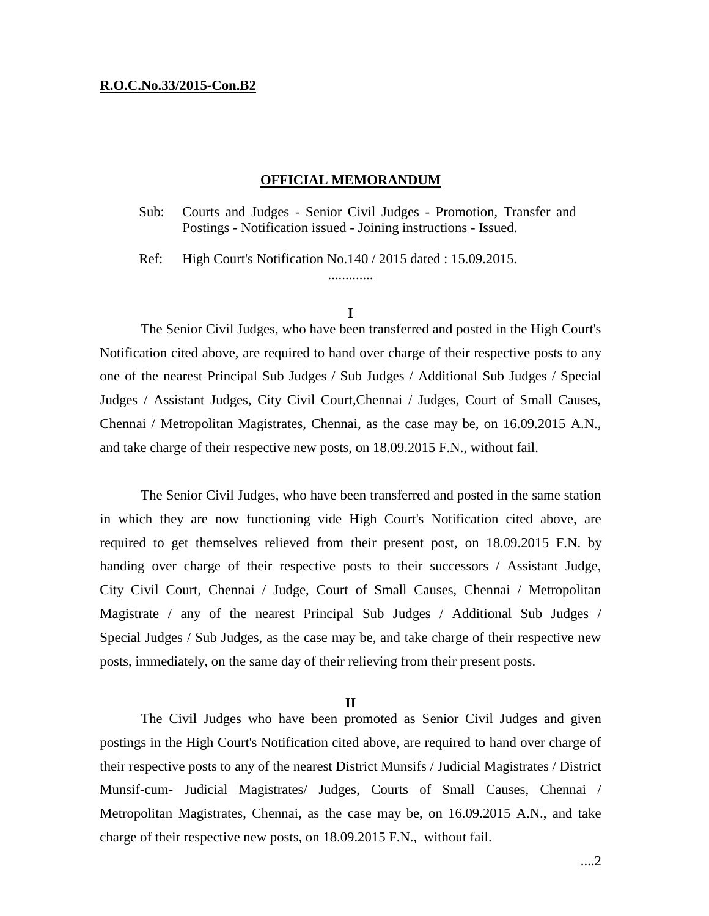### **R.O.C.No.33/2015-Con.B2**

### **OFFICIAL MEMORANDUM**

Sub: Courts and Judges - Senior Civil Judges - Promotion, Transfer and Postings - Notification issued - Joining instructions - Issued.

Ref: High Court's Notification No.140 / 2015 dated : 15.09.2015.

### **I**

.............

The Senior Civil Judges, who have been transferred and posted in the High Court's Notification cited above, are required to hand over charge of their respective posts to any one of the nearest Principal Sub Judges / Sub Judges / Additional Sub Judges / Special Judges / Assistant Judges, City Civil Court,Chennai / Judges, Court of Small Causes, Chennai / Metropolitan Magistrates, Chennai, as the case may be, on 16.09.2015 A.N., and take charge of their respective new posts, on 18.09.2015 F.N., without fail.

The Senior Civil Judges, who have been transferred and posted in the same station in which they are now functioning vide High Court's Notification cited above, are required to get themselves relieved from their present post, on 18.09.2015 F.N. by handing over charge of their respective posts to their successors / Assistant Judge, City Civil Court, Chennai / Judge, Court of Small Causes, Chennai / Metropolitan Magistrate / any of the nearest Principal Sub Judges / Additional Sub Judges / Special Judges / Sub Judges, as the case may be, and take charge of their respective new posts, immediately, on the same day of their relieving from their present posts.

#### **II**

The Civil Judges who have been promoted as Senior Civil Judges and given postings in the High Court's Notification cited above, are required to hand over charge of their respective posts to any of the nearest District Munsifs / Judicial Magistrates / District Munsif-cum- Judicial Magistrates/ Judges, Courts of Small Causes, Chennai / Metropolitan Magistrates, Chennai, as the case may be, on 16.09.2015 A.N., and take charge of their respective new posts, on 18.09.2015 F.N., without fail.

....2